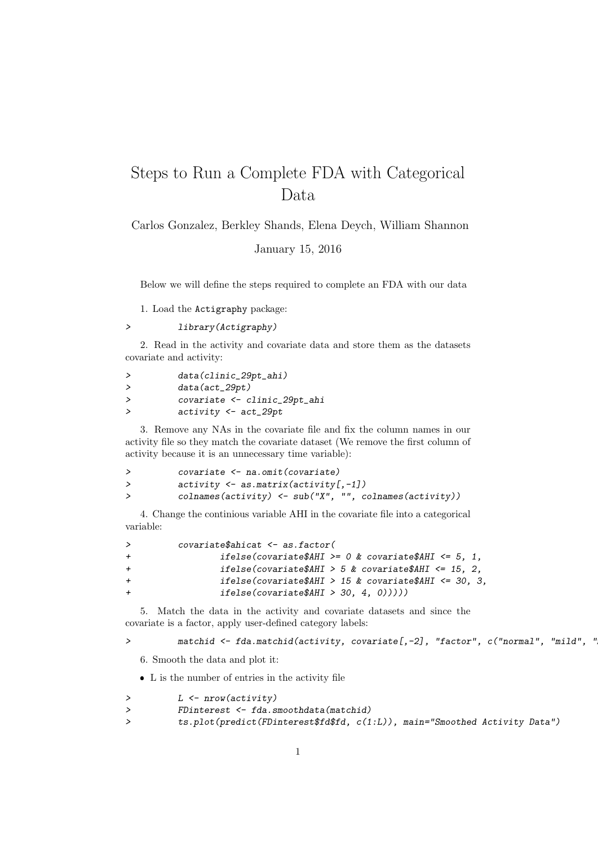## Steps to Run a Complete FDA with Categorical Data

Carlos Gonzalez, Berkley Shands, Elena Deych, William Shannon

January 15, 2016

Below we will define the steps required to complete an FDA with our data

1. Load the Actigraphy package:

> library(Actigraphy)

2. Read in the activity and covariate data and store them as the datasets covariate and activity:

|   | data(clinic_29pt_ahi)          |
|---|--------------------------------|
|   | $data(act_29pt)$               |
| > | covariate <- clinic_29pt_ahi   |
| → | $activity \leftarrow act_29pt$ |

3. Remove any NAs in the covariate file and fix the column names in our activity file so they match the covariate dataset (We remove the first column of activity because it is an unnecessary time variable):

| covariate <- na.omit(covariate)                            |
|------------------------------------------------------------|
| $activity \leftarrow$ as.matrix(activity[,-1])             |
| colnames(activity) $\leq$ sub("X", "", colnames(activity)) |

4. Change the continious variable AHI in the covariate file into a categorical variable:

| ≻   | $covariate \$ ahicat $\leq$ as factor(                     |
|-----|------------------------------------------------------------|
| $+$ | ifelse(covariate\$AHI >= $0$ & covariate\$AHI <= $5$ , 1,  |
| $+$ | ifelse(covariate\$AHI > 5 & covariate\$AHI $\leq$ 15, 2,   |
| $+$ | ifelse(covariate\$AHI > 15 & covariate\$AHI $\leq 30$ , 3, |
| $+$ | ifelse(covariate \$AHI > 30, 4, 0))))                      |
|     |                                                            |

5. Match the data in the activity and covariate datasets and since the covariate is a factor, apply user-defined category labels:

> matchid <- fda.matchid(activity, covariate[,-2], "factor", c("normal", "mild", "

6. Smooth the data and plot it:

 $\bullet\,$  L is the number of entries in the activity file

| $L \leftarrow \text{nrow}(\text{activity})$ |
|---------------------------------------------|
| FDinterest <- fda.smoothdata(matchid)       |

> ts.plot(predict(FDinterest\$fd\$fd, c(1:L)), main="Smoothed Activity Data")